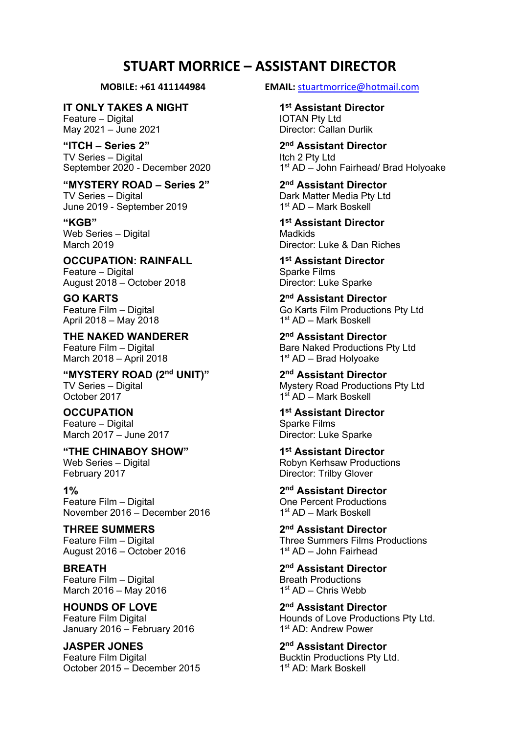# **STUART MORRICE – ASSISTANT DIRECTOR**

**IT ONLY TAKES A NIGHT 1st Assistant Director**

May 2021 – June 2021

**"ITCH – Series 2" 2nd Assistant Director** TV Series – Digital<br>September 2020 - December 2020

### **"MYSTERY ROAD – Series 2" 2nd Assistant Director**

June 2019 - September 2019

Web Series - Digital

**OCCUPATION: RAINFALL 1st Assistant Director** Feature – Digital Sparke Films<br>
August 2018 – October 2018 Municipal Sparke Sparke Sparke August  $2018 -$ October 2018

April 2018 – May 2018

**THE NAKED WANDERER 2nd Assistant Director** March 2018 – April 2018

**"MYSTERY ROAD (2nd UNIT)" 2nd Assistant Director** TV Series – Digital  $\overline{a}$  Mystery Road Productions Pty Ltd October 2017

March 2017 – June 2017

**"THE CHINABOY SHOW" 1st Assistant Director** Web Series – Digital Messeries (Robyn Kerhsaw Productions February 2017

Feature Film – Digital  $\frac{1}{10}$  Percent Productions<br>November 2016 – December 2016  $\frac{1}{10}$  and  $\frac{1}{10}$  AD – Mark Boskell November 2016 – December 2016

August  $2016 -$  October 2016

Feature Film – Digital Breath Productions March 2016 – May 2016  $1$ st AD – Chris Webb

**HOUNDS OF LOVE 2nd Assistant Director** January 2016 – February 2016

**JASPER JONES 2nd Assistant Director** Feature Film Digital **Bucktin Productions Pty Ltd.** Bucktin Productions Pty Ltd. October 2015 – December 2015 1st AD: Mark Boskell

**MOBILE: +61 411144984 EMAIL:** stuartmorrice@hotmail.com

Feature – Digital and The Seature – Digital IOTAN Pty Ltd<br>
IOTAN Pty Ltd<br>
Director: Callan Durlik

1<sup>st</sup> AD – John Fairhead/ Brad Holyoake

TV Series – Digital  $\frac{1}{1}$  Dark Matter Media Pty Ltd<br>
June 2019 - September 2019

**"KGB" 1st Assistant Director** March 2019 Director: Luke & Dan Riches

**GO KARTS 2nd Assistant Director** Go Karts Film Productions Pty Ltd<br>1<sup>st</sup> AD – Mark Boskell

Feature Film – Digital  $\frac{B}{100}$  Bare Naked Productions Pty Ltd March 2018 – April 2018

 $1<sup>st</sup>$  AD – Mark Boskell

**OCCUPATION 1st Assistant Director** Feature – Digital Sparke Films<br>
March 2017 – June 2017 Supervisory Director: Luke Sparke

Director: Trilby Glover

**1% 2nd Assistant Director**

**THREE SUMMERS 2nd Assistant Director** Feature Film – Digital **Feature Film – Digital** Three Summers Films Productions<br>August 2016 – October 2016 **The Case of the Summers August** 2016

**BREATH 2nd Assistant Director**

Feature Film Digital Feature Film Digital Feature Film Digital Hounds of Love Productions Pty Ltd.<br>
January 2016 – February 2016 1<sup>st</sup> AD: Andrew Power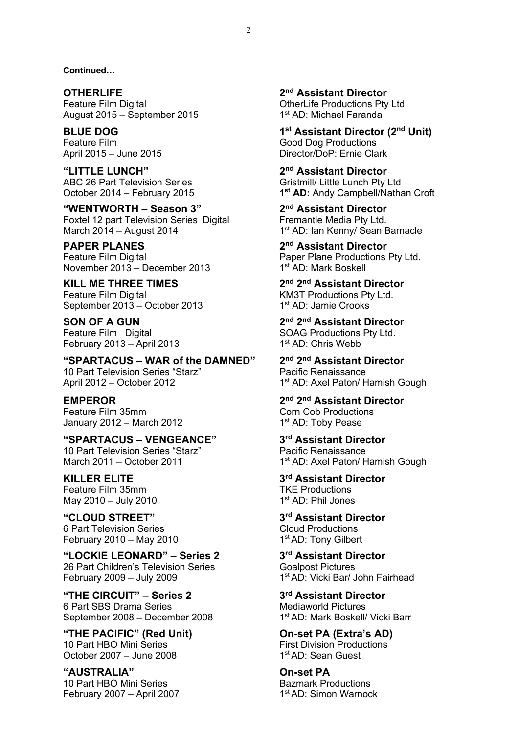**Continued…**

**OTHERLIFE 2nd Assistant Director** Feature Film Digital **Containers** CherLife Productions Pty Ltd. August 2015 – September 2015 1st AD: Michael Faranda

**"LITTLE LUNCH" 2nd Assistant Director** ABC 26 Part Television Series Gristmill/ Little Lunch Pty Ltd

**"WENTWORTH – Season 3" 2nd Assistant Director** Foxtel 12 part Television Series Digital Fremantle Media Pty Ltd.<br>March 2014 - August 2014 1<sup>st</sup> AD: Ian Kenny/ Sean E

**PAPER PLANES 2nd Assistant Director** Feature Film Digital **Paper Plane Productions Pty Ltd.** November 2013 – December 2013 1st AD: Mark Boskell

**KILL ME THREE TIMES 2nd 2nd Assistant Director** Feature Film Digital **Example 2** KM3T Productions Pty Ltd. September 2013 – October 2013 1st AD: Jamie Crooks

February 2013 – April 2013 1st AD: Chris Webb

**"SPARTACUS – WAR of the DAMNED" 2nd 2nd Assistant Director** 10 Part Television Series "Starz" Pacific Renaissance April 2012 – October 2012 1st AD: Axel Paton/ Hamish Gough

Feature Film 35mm Corn Corn Cob Productions January 2012 – March 2012  $1<sup>st</sup> AD: Toby Pease$ 

**"SPARTACUS – VENGEANCE" 3rd Assistant Director** 10 Part Television Series "Starz" Pacific Renaissance

Feature Film 35mm<br>May 2010 - July 2010 15 1st AD: Phil Jones  $May 2010 - July 2010$ 

**"CLOUD STREET" 3rd Assistant Director**  6 Part Television Series Cloud Productions February 2010 – May 2010 1st AD: Tony Gilbert

**"LOCKIE LEONARD" – Series 2 3rd Assistant Director**  26 Part Children's Television Series **Goalpost Pictures** February 2009 – July 2009  $\qquad \qquad$  1st AD: Vicki Bar/ John Fairhead

**"THE CIRCUIT" – Series 2 3rd Assistant Director**  6 Part SBS Drama Series September 2008 – December 2008 1<sup>st</sup> AD: Mark Boskell/ Vicki Barr

**THE PACIFIC" (Red Unit) On-set PA (Extra's AD)**<br>10 Part HBO Mini Series **Canadian Extra First Division Productions** October 2007 – June  $2008$ 

**"AUSTRALIA" On-set PA**  10 Part HBO Mini Series **Bazmark Productions** February 2007 – April 2007  $1<sup>st</sup> AD$ : Simon Warnock

**BLUE DOG 1st Assistant Director (2nd Unit)** Feature Film Good Dog Productions April 2015 – June 2015 **Director** Director/DoP: Ernie Clark

October 2014 – February 2015 **1st AD:** Andy Campbell/Nathan Croft

1<sup>st</sup> AD: Ian Kenny/ Sean Barnacle

**SON OF A GUN 2nd 2nd Assistant Director** Feature Film Digital **SOAG Productions Pty Ltd.** 

**EMPEROR 2nd 2nd Assistant Director**

March 2011 – October 2011 1st AD: Axel Paton/ Hamish Gough

**KILLER ELITE 3rd Assistant Director**

First Division Productions<br>1<sup>st</sup> AD: Sean Guest